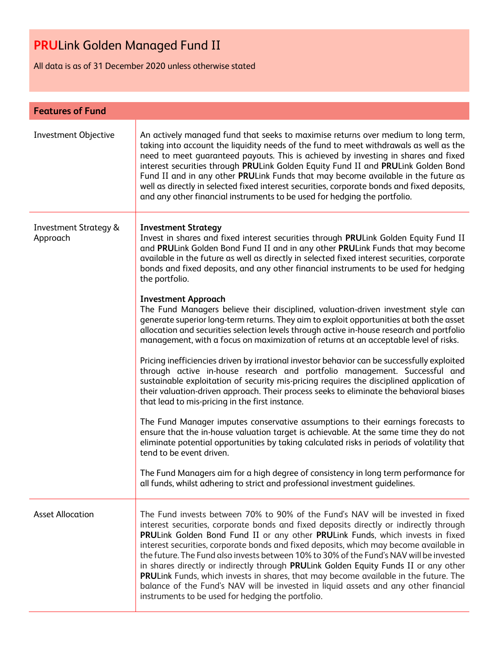# **PRU**Link Golden Managed Fund II

All data is as of 31 December 2020 unless otherwise stated

| <b>Features of Fund</b>                      |                                                                                                                                                                                                                                                                                                                                                                                                                                                                                                                                                                                                                                                                                                                                                                              |  |
|----------------------------------------------|------------------------------------------------------------------------------------------------------------------------------------------------------------------------------------------------------------------------------------------------------------------------------------------------------------------------------------------------------------------------------------------------------------------------------------------------------------------------------------------------------------------------------------------------------------------------------------------------------------------------------------------------------------------------------------------------------------------------------------------------------------------------------|--|
| Investment Objective                         | An actively managed fund that seeks to maximise returns over medium to long term,<br>taking into account the liquidity needs of the fund to meet withdrawals as well as the<br>need to meet guaranteed payouts. This is achieved by investing in shares and fixed<br>interest securities through PRULink Golden Equity Fund II and PRULink Golden Bond<br>Fund II and in any other PRULink Funds that may become available in the future as<br>well as directly in selected fixed interest securities, corporate bonds and fixed deposits,<br>and any other financial instruments to be used for hedging the portfolio.                                                                                                                                                      |  |
| <b>Investment Strategy &amp;</b><br>Approach | <b>Investment Strategy</b><br>Invest in shares and fixed interest securities through PRULink Golden Equity Fund II<br>and PRULink Golden Bond Fund II and in any other PRULink Funds that may become<br>available in the future as well as directly in selected fixed interest securities, corporate<br>bonds and fixed deposits, and any other financial instruments to be used for hedging<br>the portfolio.                                                                                                                                                                                                                                                                                                                                                               |  |
|                                              | <b>Investment Approach</b><br>The Fund Managers believe their disciplined, valuation-driven investment style can<br>generate superior long-term returns. They aim to exploit opportunities at both the asset<br>allocation and securities selection levels through active in-house research and portfolio<br>management, with a focus on maximization of returns at an acceptable level of risks.                                                                                                                                                                                                                                                                                                                                                                            |  |
|                                              | Pricing inefficiencies driven by irrational investor behavior can be successfully exploited<br>through active in-house research and portfolio management. Successful and<br>sustainable exploitation of security mis-pricing requires the disciplined application of<br>their valuation-driven approach. Their process seeks to eliminate the behavioral biases<br>that lead to mis-pricing in the first instance.                                                                                                                                                                                                                                                                                                                                                           |  |
|                                              | The Fund Manager imputes conservative assumptions to their earnings forecasts to<br>ensure that the in-house valuation target is achievable. At the same time they do not<br>eliminate potential opportunities by taking calculated risks in periods of volatility that<br>tend to be event driven.                                                                                                                                                                                                                                                                                                                                                                                                                                                                          |  |
|                                              | The Fund Managers aim for a high degree of consistency in long term performance for<br>all funds, whilst adhering to strict and professional investment guidelines.                                                                                                                                                                                                                                                                                                                                                                                                                                                                                                                                                                                                          |  |
| <b>Asset Allocation</b>                      | The Fund invests between 70% to 90% of the Fund's NAV will be invested in fixed<br>interest securities, corporate bonds and fixed deposits directly or indirectly through<br>PRULink Golden Bond Fund II or any other PRULink Funds, which invests in fixed<br>interest securities, corporate bonds and fixed deposits, which may become available in<br>the future. The Fund also invests between 10% to 30% of the Fund's NAV will be invested<br>in shares directly or indirectly through PRULink Golden Equity Funds II or any other<br>PRULink Funds, which invests in shares, that may become available in the future. The<br>balance of the Fund's NAV will be invested in liquid assets and any other financial<br>instruments to be used for hedging the portfolio. |  |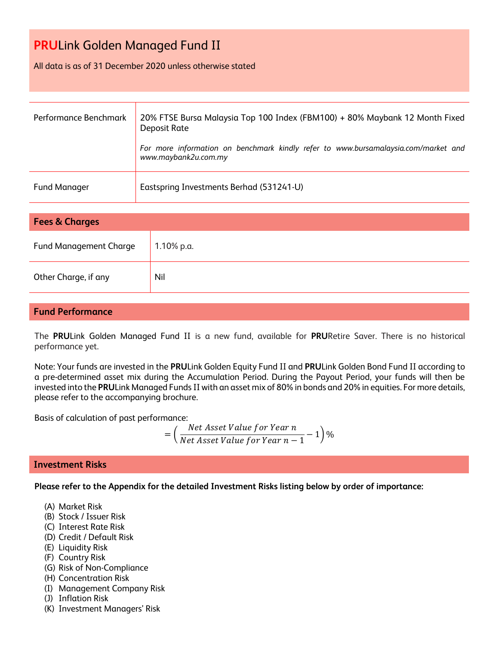# **PRU**Link Golden Managed Fund II

#### All data is as of 31 December 2020 unless otherwise stated

| Performance Benchmark | 20% FTSE Bursa Malaysia Top 100 Index (FBM100) + 80% Maybank 12 Month Fixed<br>Deposit Rate<br>For more information on benchmark kindly refer to www.bursamalaysia.com/market and<br>www.maybank2u.com.my |
|-----------------------|-----------------------------------------------------------------------------------------------------------------------------------------------------------------------------------------------------------|
| <b>Fund Manager</b>   | Eastspring Investments Berhad (531241-U)                                                                                                                                                                  |

| <b>Fees &amp; Charges</b>     |            |  |
|-------------------------------|------------|--|
| <b>Fund Management Charge</b> | 1.10% p.a. |  |
| Other Charge, if any          | Nil        |  |

#### **Fund Performance**

The **PRU**Link Golden Managed Fund II is a new fund, available for **PRU**Retire Saver. There is no historical performance yet.

Note: Your funds are invested in the **PRU**Link Golden Equity Fund II and **PRU**Link Golden Bond Fund II according to a pre-determined asset mix during the Accumulation Period. During the Payout Period, your funds will then be invested into the **PRU**Link Managed Funds II with an asset mix of 80% in bonds and 20% in equities. For more details, please refer to the accompanying brochure.

Basis of calculation of past performance:

= ( Net Asset Value for Year n  $\frac{1}{\sqrt{1-\frac{1}{n}}}$  1)%<br>Net Asset Value for Year  $n-1$  - 1)%

### **Investment Risks**

**Please refer to the Appendix for the detailed Investment Risks listing below by order of importance:**

- (A) Market Risk
- (B) Stock / Issuer Risk
- (C) Interest Rate Risk
- (D) Credit / Default Risk
- (E) Liquidity Risk
- (F) Country Risk
- (G) Risk of Non-Compliance
- (H) Concentration Risk
- (I) Management Company Risk
- (J) Inflation Risk
- (K) Investment Managers' Risk